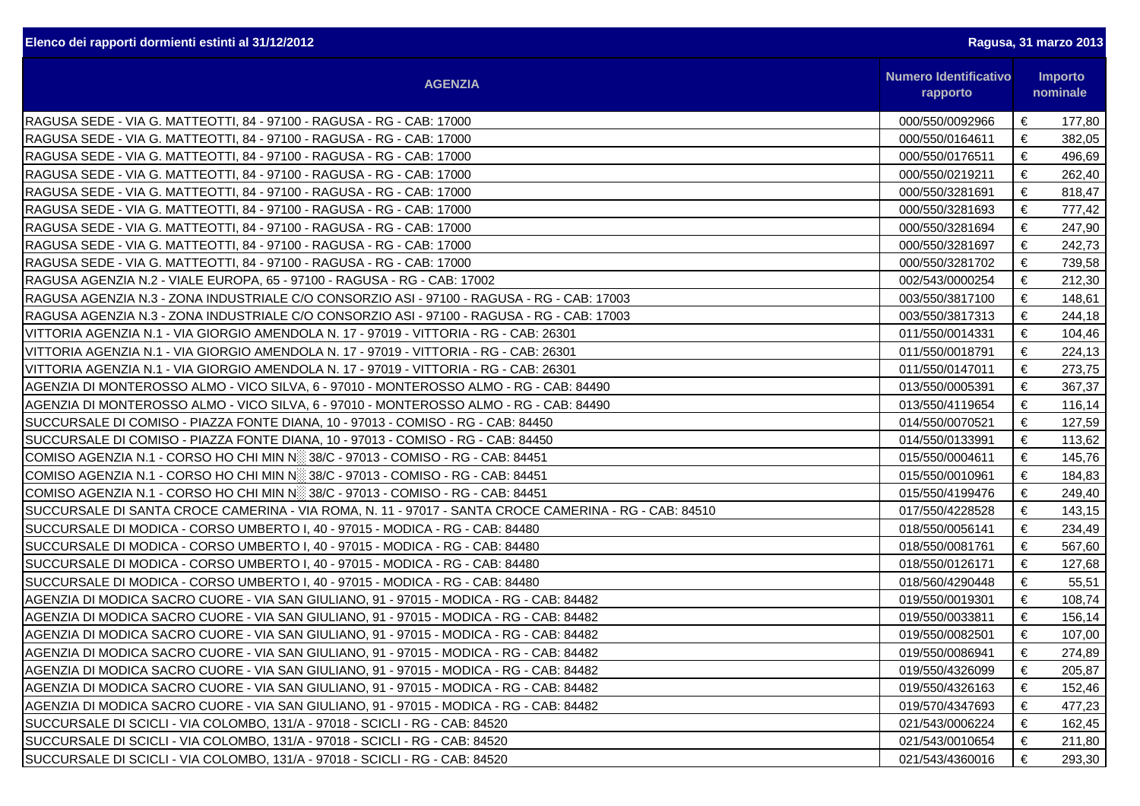| Elenco dei rapporti dormienti estinti al 31/12/2012                                                   |                 | Ragusa, 31 marzo 2013                                      |        |  |  |
|-------------------------------------------------------------------------------------------------------|-----------------|------------------------------------------------------------|--------|--|--|
| <b>AGENZIA</b>                                                                                        |                 | <b>Numero Identificativo</b><br><b>Importo</b><br>nominale |        |  |  |
| RAGUSA SEDE - VIA G. MATTEOTTI, 84 - 97100 - RAGUSA - RG - CAB: 17000                                 | 000/550/0092966 | €                                                          | 177,80 |  |  |
| RAGUSA SEDE - VIA G. MATTEOTTI, 84 - 97100 - RAGUSA - RG - CAB: 17000                                 | 000/550/0164611 | €                                                          | 382,05 |  |  |
| RAGUSA SEDE - VIA G. MATTEOTTI, 84 - 97100 - RAGUSA - RG - CAB: 17000                                 | 000/550/0176511 | €                                                          | 496,69 |  |  |
| RAGUSA SEDE - VIA G. MATTEOTTI, 84 - 97100 - RAGUSA - RG - CAB: 17000                                 | 000/550/0219211 | €                                                          | 262,40 |  |  |
| RAGUSA SEDE - VIA G. MATTEOTTI, 84 - 97100 - RAGUSA - RG - CAB: 17000                                 | 000/550/3281691 | €                                                          | 818,47 |  |  |
| RAGUSA SEDE - VIA G. MATTEOTTI, 84 - 97100 - RAGUSA - RG - CAB: 17000                                 | 000/550/3281693 | €                                                          | 777,42 |  |  |
| RAGUSA SEDE - VIA G. MATTEOTTI, 84 - 97100 - RAGUSA - RG - CAB: 17000                                 | 000/550/3281694 | €                                                          | 247,90 |  |  |
| RAGUSA SEDE - VIA G. MATTEOTTI, 84 - 97100 - RAGUSA - RG - CAB: 17000                                 | 000/550/3281697 | €                                                          | 242,73 |  |  |
| RAGUSA SEDE - VIA G. MATTEOTTI, 84 - 97100 - RAGUSA - RG - CAB: 17000                                 | 000/550/3281702 | €                                                          | 739,58 |  |  |
| RAGUSA AGENZIA N.2 - VIALE EUROPA, 65 - 97100 - RAGUSA - RG - CAB: 17002                              | 002/543/0000254 | €                                                          | 212,30 |  |  |
| RAGUSA AGENZIA N.3 - ZONA INDUSTRIALE C/O CONSORZIO ASI - 97100 - RAGUSA - RG - CAB: 17003            | 003/550/3817100 | €                                                          | 148,61 |  |  |
| RAGUSA AGENZIA N.3 - ZONA INDUSTRIALE C/O CONSORZIO ASI - 97100 - RAGUSA - RG - CAB: 17003            | 003/550/3817313 | €                                                          | 244,18 |  |  |
| VITTORIA AGENZIA N.1 - VIA GIORGIO AMENDOLA N. 17 - 97019 - VITTORIA - RG - CAB: 26301                | 011/550/0014331 | €                                                          | 104,46 |  |  |
| VITTORIA AGENZIA N.1 - VIA GIORGIO AMENDOLA N. 17 - 97019 - VITTORIA - RG - CAB: 26301                | 011/550/0018791 | €                                                          | 224,13 |  |  |
| VITTORIA AGENZIA N.1 - VIA GIORGIO AMENDOLA N. 17 - 97019 - VITTORIA - RG - CAB: 26301                | 011/550/0147011 | €                                                          | 273,75 |  |  |
| AGENZIA DI MONTEROSSO ALMO - VICO SILVA, 6 - 97010 - MONTEROSSO ALMO - RG - CAB: 84490                | 013/550/0005391 | €                                                          | 367,37 |  |  |
| AGENZIA DI MONTEROSSO ALMO - VICO SILVA, 6 - 97010 - MONTEROSSO ALMO - RG - CAB: 84490                | 013/550/4119654 | €                                                          | 116,14 |  |  |
| SUCCURSALE DI COMISO - PIAZZA FONTE DIANA, 10 - 97013 - COMISO - RG - CAB: 84450                      | 014/550/0070521 | €                                                          | 127,59 |  |  |
| SUCCURSALE DI COMISO - PIAZZA FONTE DIANA, 10 - 97013 - COMISO - RG - CAB: 84450                      | 014/550/0133991 | €                                                          | 113,62 |  |  |
| COMISO AGENZIA N.1 - CORSO HO CHI MIN N <sup>33</sup> 38/C - 97013 - COMISO - RG - CAB: 84451         | 015/550/0004611 | €                                                          | 145,76 |  |  |
| COMISO AGENZIA N.1 - CORSO HO CHI MIN N <sup>33</sup> 38/C - 97013 - COMISO - RG - CAB: 84451         | 015/550/0010961 | €                                                          | 184,83 |  |  |
| COMISO AGENZIA N.1 - CORSO HO CHI MIN N <sup>33</sup> 38/C - 97013 - COMISO - RG - CAB: 84451         | 015/550/4199476 | €                                                          | 249,40 |  |  |
| SUCCURSALE DI SANTA CROCE CAMERINA - VIA ROMA, N. 11 - 97017 - SANTA CROCE CAMERINA - RG - CAB: 84510 | 017/550/4228528 | €                                                          | 143,15 |  |  |
| SUCCURSALE DI MODICA - CORSO UMBERTO I, 40 - 97015 - MODICA - RG - CAB: 84480                         | 018/550/0056141 | €                                                          | 234,49 |  |  |
| SUCCURSALE DI MODICA - CORSO UMBERTO I, 40 - 97015 - MODICA - RG - CAB: 84480                         | 018/550/0081761 | €                                                          | 567,60 |  |  |
| SUCCURSALE DI MODICA - CORSO UMBERTO I, 40 - 97015 - MODICA - RG - CAB: 84480                         | 018/550/0126171 | €                                                          | 127,68 |  |  |
| SUCCURSALE DI MODICA - CORSO UMBERTO I, 40 - 97015 - MODICA - RG - CAB: 84480                         | 018/560/4290448 | €                                                          | 55,51  |  |  |
| AGENZIA DI MODICA SACRO CUORE - VIA SAN GIULIANO, 91 - 97015 - MODICA - RG - CAB: 84482               | 019/550/0019301 | €                                                          | 108,74 |  |  |
| AGENZIA DI MODICA SACRO CUORE - VIA SAN GIULIANO, 91 - 97015 - MODICA - RG - CAB: 84482               | 019/550/0033811 | €                                                          | 156,14 |  |  |
| AGENZIA DI MODICA SACRO CUORE - VIA SAN GIULIANO, 91 - 97015 - MODICA - RG - CAB: 84482               | 019/550/0082501 | €                                                          | 107,00 |  |  |
| AGENZIA DI MODICA SACRO CUORE - VIA SAN GIULIANO, 91 - 97015 - MODICA - RG - CAB: 84482               | 019/550/0086941 | €                                                          | 274,89 |  |  |
| AGENZIA DI MODICA SACRO CUORE - VIA SAN GIULIANO, 91 - 97015 - MODICA - RG - CAB: 84482               | 019/550/4326099 | €                                                          | 205,87 |  |  |
| AGENZIA DI MODICA SACRO CUORE - VIA SAN GIULIANO, 91 - 97015 - MODICA - RG - CAB: 84482               | 019/550/4326163 | €                                                          | 152,46 |  |  |
| AGENZIA DI MODICA SACRO CUORE - VIA SAN GIULIANO, 91 - 97015 - MODICA - RG - CAB: 84482               | 019/570/4347693 | €                                                          | 477,23 |  |  |
| SUCCURSALE DI SCICLI - VIA COLOMBO, 131/A - 97018 - SCICLI - RG - CAB: 84520                          | 021/543/0006224 | €                                                          | 162,45 |  |  |
| SUCCURSALE DI SCICLI - VIA COLOMBO, 131/A - 97018 - SCICLI - RG - CAB: 84520                          | 021/543/0010654 | €                                                          | 211,80 |  |  |
| SUCCURSALE DI SCICLI - VIA COLOMBO, 131/A - 97018 - SCICLI - RG - CAB: 84520                          | 021/543/4360016 | €                                                          | 293,30 |  |  |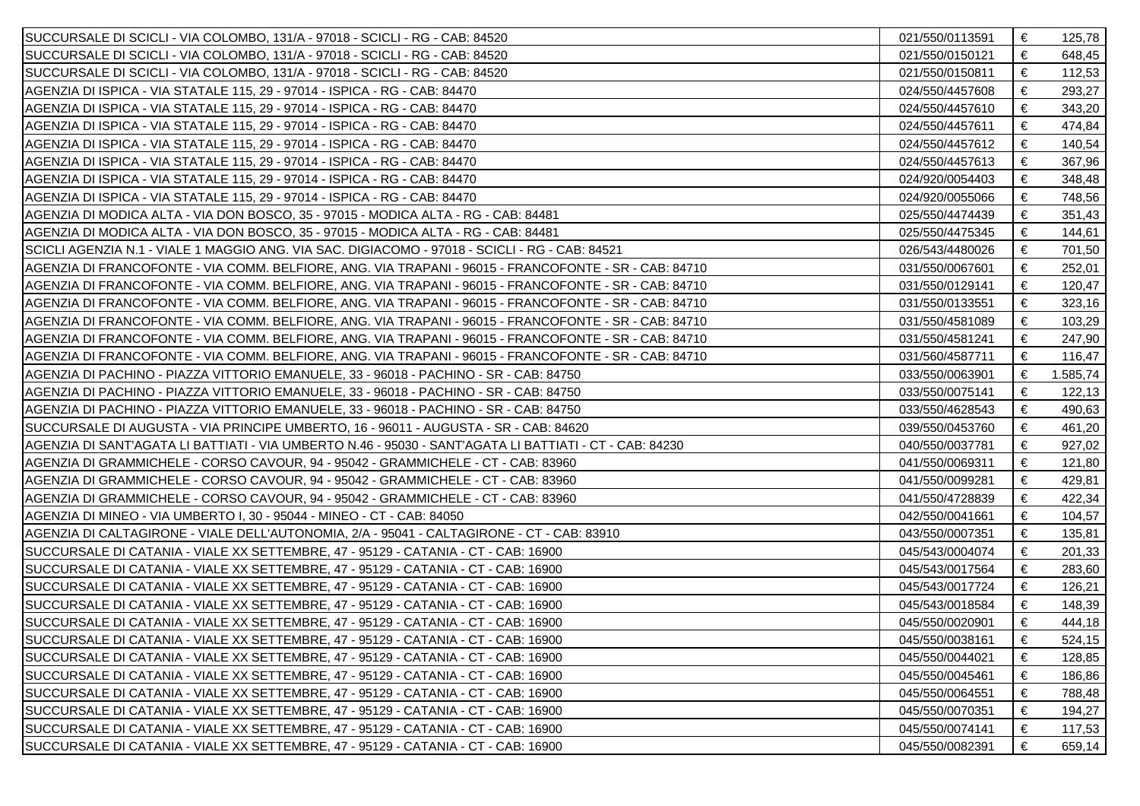| SUCCURSALE DI SCICLI - VIA COLOMBO, 131/A - 97018 - SCICLI - RG - CAB: 84520                            | 021/550/0113591 | € | 125,78   |
|---------------------------------------------------------------------------------------------------------|-----------------|---|----------|
| SUCCURSALE DI SCICLI - VIA COLOMBO, 131/A - 97018 - SCICLI - RG - CAB: 84520                            | 021/550/0150121 | € | 648,45   |
| SUCCURSALE DI SCICLI - VIA COLOMBO, 131/A - 97018 - SCICLI - RG - CAB: 84520                            | 021/550/0150811 | € | 112,53   |
| AGENZIA DI ISPICA - VIA STATALE 115, 29 - 97014 - ISPICA - RG - CAB: 84470                              | 024/550/4457608 | € | 293,27   |
| AGENZIA DI ISPICA - VIA STATALE 115, 29 - 97014 - ISPICA - RG - CAB: 84470                              | 024/550/4457610 | € | 343,20   |
| AGENZIA DI ISPICA - VIA STATALE 115, 29 - 97014 - ISPICA - RG - CAB: 84470                              | 024/550/4457611 | € | 474,84   |
| AGENZIA DI ISPICA - VIA STATALE 115, 29 - 97014 - ISPICA - RG - CAB: 84470                              | 024/550/4457612 | € | 140,54   |
| AGENZIA DI ISPICA - VIA STATALE 115, 29 - 97014 - ISPICA - RG - CAB: 84470                              | 024/550/4457613 | € | 367,96   |
| AGENZIA DI ISPICA - VIA STATALE 115, 29 - 97014 - ISPICA - RG - CAB: 84470                              | 024/920/0054403 | € | 348,48   |
| AGENZIA DI ISPICA - VIA STATALE 115, 29 - 97014 - ISPICA - RG - CAB: 84470                              | 024/920/0055066 | € | 748,56   |
| AGENZIA DI MODICA ALTA - VIA DON BOSCO, 35 - 97015 - MODICA ALTA - RG - CAB: 84481                      | 025/550/4474439 | € | 351,43   |
| AGENZIA DI MODICA ALTA - VIA DON BOSCO, 35 - 97015 - MODICA ALTA - RG - CAB: 84481                      | 025/550/4475345 | € | 144,61   |
| SCICLI AGENZIA N.1 - VIALE 1 MAGGIO ANG. VIA SAC. DIGIACOMO - 97018 - SCICLI - RG - CAB: 84521          | 026/543/4480026 | € | 701,50   |
| AGENZIA DI FRANCOFONTE - VIA COMM. BELFIORE, ANG. VIA TRAPANI - 96015 - FRANCOFONTE - SR - CAB: 84710   | 031/550/0067601 | € | 252,01   |
| AGENZIA DI FRANCOFONTE - VIA COMM. BELFIORE, ANG. VIA TRAPANI - 96015 - FRANCOFONTE - SR - CAB: 84710   | 031/550/0129141 | € | 120,47   |
| AGENZIA DI FRANCOFONTE - VIA COMM. BELFIORE, ANG. VIA TRAPANI - 96015 - FRANCOFONTE - SR - CAB: 84710   | 031/550/0133551 | € | 323,16   |
| AGENZIA DI FRANCOFONTE - VIA COMM. BELFIORE, ANG. VIA TRAPANI - 96015 - FRANCOFONTE - SR - CAB: 84710   | 031/550/4581089 | € | 103,29   |
| AGENZIA DI FRANCOFONTE - VIA COMM. BELFIORE, ANG. VIA TRAPANI - 96015 - FRANCOFONTE - SR - CAB: 84710   | 031/550/4581241 | € | 247,90   |
| AGENZIA DI FRANCOFONTE - VIA COMM. BELFIORE, ANG. VIA TRAPANI - 96015 - FRANCOFONTE - SR - CAB: 84710   | 031/560/4587711 | € | 116,47   |
| AGENZIA DI PACHINO - PIAZZA VITTORIO EMANUELE, 33 - 96018 - PACHINO - SR - CAB: 84750                   | 033/550/0063901 | € | 1.585,74 |
| AGENZIA DI PACHINO - PIAZZA VITTORIO EMANUELE, 33 - 96018 - PACHINO - SR - CAB: 84750                   | 033/550/0075141 | € | 122,13   |
| AGENZIA DI PACHINO - PIAZZA VITTORIO EMANUELE, 33 - 96018 - PACHINO - SR - CAB: 84750                   | 033/550/4628543 | € | 490,63   |
| SUCCURSALE DI AUGUSTA - VIA PRINCIPE UMBERTO, 16 - 96011 - AUGUSTA - SR - CAB: 84620                    | 039/550/0453760 | € | 461,20   |
| AGENZIA DI SANT'AGATA LI BATTIATI - VIA UMBERTO N.46 - 95030 - SANT'AGATA LI BATTIATI - CT - CAB: 84230 | 040/550/0037781 | € | 927,02   |
| AGENZIA DI GRAMMICHELE - CORSO CAVOUR, 94 - 95042 - GRAMMICHELE - CT - CAB: 83960                       | 041/550/0069311 | € | 121,80   |
| AGENZIA DI GRAMMICHELE - CORSO CAVOUR, 94 - 95042 - GRAMMICHELE - CT - CAB: 83960                       | 041/550/0099281 | € | 429,81   |
| AGENZIA DI GRAMMICHELE - CORSO CAVOUR, 94 - 95042 - GRAMMICHELE - CT - CAB: 83960                       | 041/550/4728839 | € | 422,34   |
| AGENZIA DI MINEO - VIA UMBERTO I, 30 - 95044 - MINEO - CT - CAB: 84050                                  | 042/550/0041661 | € | 104,57   |
| AGENZIA DI CALTAGIRONE - VIALE DELL'AUTONOMIA, 2/A - 95041 - CALTAGIRONE - CT - CAB: 83910              | 043/550/0007351 | € | 135,81   |
| SUCCURSALE DI CATANIA - VIALE XX SETTEMBRE, 47 - 95129 - CATANIA - CT - CAB: 16900                      | 045/543/0004074 | € | 201,33   |
| SUCCURSALE DI CATANIA - VIALE XX SETTEMBRE, 47 - 95129 - CATANIA - CT - CAB: 16900                      | 045/543/0017564 | € | 283,60   |
| SUCCURSALE DI CATANIA - VIALE XX SETTEMBRE, 47 - 95129 - CATANIA - CT - CAB: 16900                      | 045/543/0017724 | € | 126,21   |
| SUCCURSALE DI CATANIA - VIALE XX SETTEMBRE, 47 - 95129 - CATANIA - CT - CAB: 16900                      | 045/543/0018584 | € | 148,39   |
| SUCCURSALE DI CATANIA - VIALE XX SETTEMBRE. 47 - 95129 - CATANIA - CT - CAB: 16900                      | 045/550/0020901 | € | 444,18   |
| SUCCURSALE DI CATANIA - VIALE XX SETTEMBRE, 47 - 95129 - CATANIA - CT - CAB: 16900                      | 045/550/0038161 | € | 524,15   |
| SUCCURSALE DI CATANIA - VIALE XX SETTEMBRE, 47 - 95129 - CATANIA - CT - CAB: 16900                      | 045/550/0044021 | € | 128,85   |
| SUCCURSALE DI CATANIA - VIALE XX SETTEMBRE, 47 - 95129 - CATANIA - CT - CAB: 16900                      | 045/550/0045461 | € | 186,86   |
| SUCCURSALE DI CATANIA - VIALE XX SETTEMBRE, 47 - 95129 - CATANIA - CT - CAB: 16900                      | 045/550/0064551 | € | 788,48   |
| SUCCURSALE DI CATANIA - VIALE XX SETTEMBRE, 47 - 95129 - CATANIA - CT - CAB: 16900                      | 045/550/0070351 | € | 194,27   |
| SUCCURSALE DI CATANIA - VIALE XX SETTEMBRE, 47 - 95129 - CATANIA - CT - CAB: 16900                      | 045/550/0074141 | € | 117,53   |
| SUCCURSALE DI CATANIA - VIALE XX SETTEMBRE, 47 - 95129 - CATANIA - CT - CAB: 16900                      | 045/550/0082391 | € | 659,14   |
|                                                                                                         |                 |   |          |